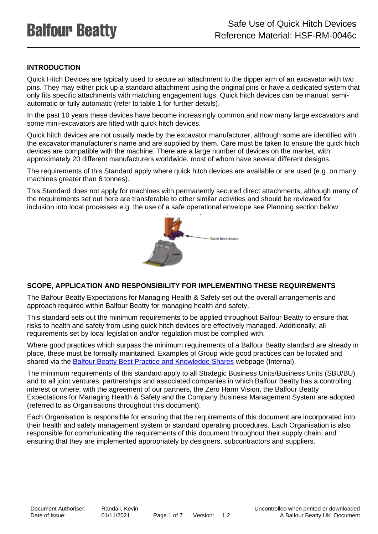# **INTRODUCTION**

Quick Hitch Devices are typically used to secure an attachment to the dipper arm of an excavator with two pins. They may either pick up a standard attachment using the original pins or have a dedicated system that only fits specific attachments with matching engagement lugs. Quick hitch devices can be manual, semiautomatic or fully automatic (refer to table 1 for further details).

In the past 10 years these devices have become increasingly common and now many large excavators and some mini-excavators are fitted with quick hitch devices.

Quick hitch devices are not usually made by the excavator manufacturer, although some are identified with the excavator manufacturer's name and are supplied by them. Care must be taken to ensure the quick hitch devices are compatible with the machine. There are a large number of devices on the market, with approximately 20 different manufacturers worldwide, most of whom have several different designs.

The requirements of this Standard apply where quick hitch devices are available or are used (e.g. on many machines greater than 6 tonnes).

This Standard does not apply for machines with permanently secured direct attachments, although many of the requirements set out here are transferable to other similar activities and should be reviewed for inclusion into local processes e.g. the use of a safe operational envelope see Planning section below.



## **SCOPE, APPLICATION AND RESPONSIBILITY FOR IMPLEMENTING THESE REQUIREMENTS**

The Balfour Beatty Expectations for Managing Health & Safety set out the overall arrangements and approach required within Balfour Beatty for managing health and safety.

This standard sets out the minimum requirements to be applied throughout Balfour Beatty to ensure that risks to health and safety from using quick hitch devices are effectively managed. Additionally, all requirements set by local legislation and/or regulation must be complied with.

Where good practices which surpass the minimum requirements of a Balfour Beatty standard are already in place, these must be formally maintained. Examples of Group wide good practices can be located and shared via the [Balfour Beatty Best Practice and Knowledge Shares](https://balfourbeatty.sharepoint.com/sites/safety/SitePages/Best-Practice-%26-Knowledge-Shares.aspx) webpage (Internal).

The minimum requirements of this standard apply to all Strategic Business Units/Business Units (SBU/BU) and to all joint ventures, partnerships and associated companies in which Balfour Beatty has a controlling interest or where, with the agreement of our partners, the Zero Harm Vision, the Balfour Beatty Expectations for Managing Health & Safety and the Company Business Management System are adopted (referred to as Organisations throughout this document).

Each Organisation is responsible for ensuring that the requirements of this document are incorporated into their health and safety management system or standard operating procedures. Each Organisation is also responsible for communicating the requirements of this document throughout their supply chain, and ensuring that they are implemented appropriately by designers, subcontractors and suppliers.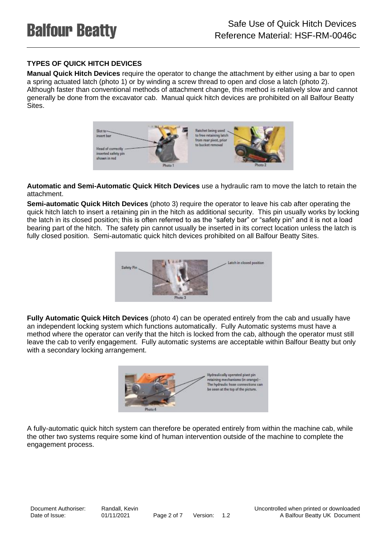# **TYPES OF QUICK HITCH DEVICES**

**Manual Quick Hitch Devices** require the operator to change the attachment by either using a bar to open a spring actuated latch (photo 1) or by winding a screw thread to open and close a latch (photo 2). Although faster than conventional methods of attachment change, this method is relatively slow and cannot generally be done from the excavator cab. Manual quick hitch devices are prohibited on all Balfour Beatty Sites.



**Automatic and Semi-Automatic Quick Hitch Devices** use a hydraulic ram to move the latch to retain the attachment.

**Semi-automatic Quick Hitch Devices** (photo 3) require the operator to leave his cab after operating the quick hitch latch to insert a retaining pin in the hitch as additional security. This pin usually works by locking the latch in its closed position; this is often referred to as the "safety bar" or "safety pin" and it is not a load bearing part of the hitch. The safety pin cannot usually be inserted in its correct location unless the latch is fully closed position. Semi-automatic quick hitch devices prohibited on all Balfour Beatty Sites.



**Fully Automatic Quick Hitch Devices** (photo 4) can be operated entirely from the cab and usually have an independent locking system which functions automatically. Fully Automatic systems must have a method where the operator can verify that the hitch is locked from the cab, although the operator must still leave the cab to verify engagement. Fully automatic systems are acceptable within Balfour Beatty but only with a secondary locking arrangement.



A fully-automatic quick hitch system can therefore be operated entirely from within the machine cab, while the other two systems require some kind of human intervention outside of the machine to complete the engagement process.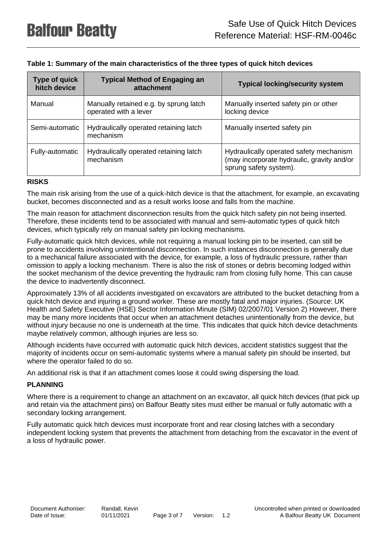| Type of quick<br>hitch device | <b>Typical Method of Engaging an</b><br>attachment              | <b>Typical locking/security system</b>                                                                          |  |
|-------------------------------|-----------------------------------------------------------------|-----------------------------------------------------------------------------------------------------------------|--|
| Manual                        | Manually retained e.g. by sprung latch<br>operated with a lever | Manually inserted safety pin or other<br>locking device                                                         |  |
| Semi-automatic                | Hydraulically operated retaining latch<br>mechanism             | Manually inserted safety pin                                                                                    |  |
| Fully-automatic               | Hydraulically operated retaining latch<br>mechanism             | Hydraulically operated safety mechanism<br>(may incorporate hydraulic, gravity and/or<br>sprung safety system). |  |

## **Table 1: Summary of the main characteristics of the three types of quick hitch devices**

#### **RISKS**

The main risk arising from the use of a quick-hitch device is that the attachment, for example, an excavating bucket, becomes disconnected and as a result works loose and falls from the machine.

The main reason for attachment disconnection results from the quick hitch safety pin not being inserted. Therefore, these incidents tend to be associated with manual and semi-automatic types of quick hitch devices, which typically rely on manual safety pin locking mechanisms.

Fully-automatic quick hitch devices, while not requiring a manual locking pin to be inserted, can still be prone to accidents involving unintentional disconnection. In such instances disconnection is generally due to a mechanical failure associated with the device, for example, a loss of hydraulic pressure, rather than omission to apply a locking mechanism. There is also the risk of stones or debris becoming lodged within the socket mechanism of the device preventing the hydraulic ram from closing fully home. This can cause the device to inadvertently disconnect.

Approximately 13% of all accidents investigated on excavators are attributed to the bucket detaching from a quick hitch device and injuring a ground worker. These are mostly fatal and major injuries. (Source: UK Health and Safety Executive (HSE) Sector Information Minute (SIM) 02/2007/01 Version 2) However, there may be many more incidents that occur when an attachment detaches unintentionally from the device, but without injury because no one is underneath at the time. This indicates that quick hitch device detachments maybe relatively common, although injuries are less so.

Although incidents have occurred with automatic quick hitch devices, accident statistics suggest that the majority of incidents occur on semi-automatic systems where a manual safety pin should be inserted, but where the operator failed to do so.

An additional risk is that if an attachment comes loose it could swing dispersing the load.

#### **PLANNING**

Where there is a requirement to change an attachment on an excavator, all quick hitch devices (that pick up and retain via the attachment pins) on Balfour Beatty sites must either be manual or fully automatic with a secondary locking arrangement.

Fully automatic quick hitch devices must incorporate front and rear closing latches with a secondary independent locking system that prevents the attachment from detaching from the excavator in the event of a loss of hydraulic power.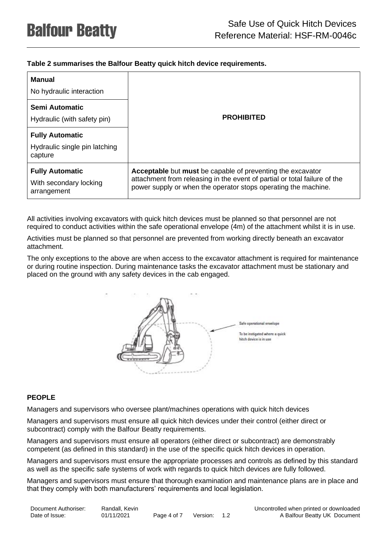## **Table 2 summarises the Balfour Beatty quick hitch device requirements.**

| Manual<br>No hydraulic interaction                                 | <b>PROHIBITED</b>                                                                                                                                                                                                       |  |  |  |
|--------------------------------------------------------------------|-------------------------------------------------------------------------------------------------------------------------------------------------------------------------------------------------------------------------|--|--|--|
| Semi Automatic<br>Hydraulic (with safety pin)                      |                                                                                                                                                                                                                         |  |  |  |
| <b>Fully Automatic</b><br>Hydraulic single pin latching<br>capture |                                                                                                                                                                                                                         |  |  |  |
| <b>Fully Automatic</b><br>With secondary locking<br>arrangement    | <b>Acceptable</b> but <b>must</b> be capable of preventing the excavator<br>attachment from releasing in the event of partial or total failure of the<br>power supply or when the operator stops operating the machine. |  |  |  |

All activities involving excavators with quick hitch devices must be planned so that personnel are not required to conduct activities within the safe operational envelope (4m) of the attachment whilst it is in use.

Activities must be planned so that personnel are prevented from working directly beneath an excavator attachment.

The only exceptions to the above are when access to the excavator attachment is required for maintenance or during routine inspection. During maintenance tasks the excavator attachment must be stationary and placed on the ground with any safety devices in the cab engaged.



### **PEOPLE**

Managers and supervisors who oversee plant/machines operations with quick hitch devices

Managers and supervisors must ensure all quick hitch devices under their control (either direct or subcontract) comply with the Balfour Beatty requirements.

Managers and supervisors must ensure all operators (either direct or subcontract) are demonstrably competent (as defined in this standard) in the use of the specific quick hitch devices in operation.

Managers and supervisors must ensure the appropriate processes and controls as defined by this standard as well as the specific safe systems of work with regards to quick hitch devices are fully followed.

Managers and supervisors must ensure that thorough examination and maintenance plans are in place and that they comply with both manufacturers' requirements and local legislation.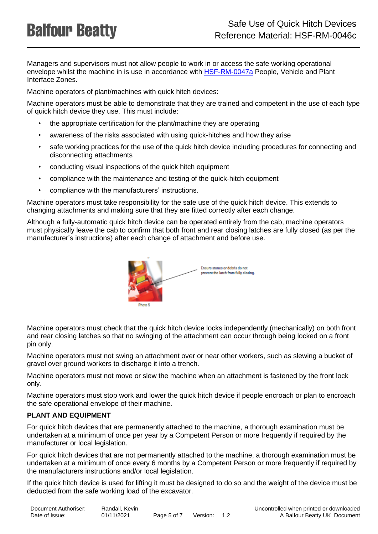Managers and supervisors must not allow people to work in or access the safe working operational envelope whilst the machine in is use in accordance with [HSF-RM-0047a](https://balfourbeatty.sharepoint.com/sites/BMS/_layouts/DocIdRedir.aspx?ID=2KHUWT73P6SE-1572-7804) People, Vehicle and Plant Interface Zones.

Machine operators of plant/machines with quick hitch devices:

Machine operators must be able to demonstrate that they are trained and competent in the use of each type of quick hitch device they use. This must include:

- the appropriate certification for the plant/machine they are operating
- awareness of the risks associated with using quick-hitches and how they arise
- safe working practices for the use of the quick hitch device including procedures for connecting and disconnecting attachments
- conducting visual inspections of the quick hitch equipment
- compliance with the maintenance and testing of the quick-hitch equipment
- compliance with the manufacturers' instructions.

Machine operators must take responsibility for the safe use of the quick hitch device. This extends to changing attachments and making sure that they are fitted correctly after each change.

Although a fully-automatic quick hitch device can be operated entirely from the cab, machine operators must physically leave the cab to confirm that both front and rear closing latches are fully closed (as per the manufacturer's instructions) after each change of attachment and before use.



Machine operators must check that the quick hitch device locks independently (mechanically) on both front and rear closing latches so that no swinging of the attachment can occur through being locked on a front pin only.

Machine operators must not swing an attachment over or near other workers, such as slewing a bucket of gravel over ground workers to discharge it into a trench.

Machine operators must not move or slew the machine when an attachment is fastened by the front lock only.

Machine operators must stop work and lower the quick hitch device if people encroach or plan to encroach the safe operational envelope of their machine.

### **PLANT AND EQUIPMENT**

For quick hitch devices that are permanently attached to the machine, a thorough examination must be undertaken at a minimum of once per year by a Competent Person or more frequently if required by the manufacturer or local legislation.

For quick hitch devices that are not permanently attached to the machine, a thorough examination must be undertaken at a minimum of once every 6 months by a Competent Person or more frequently if required by the manufacturers instructions and/or local legislation.

If the quick hitch device is used for lifting it must be designed to do so and the weight of the device must be deducted from the safe working load of the excavator.

| Document Authoriser: | Randall, Kevin |             |              |  |
|----------------------|----------------|-------------|--------------|--|
| Date of Issue:       | 01/11/2021     | Page 5 of 7 | Version: 1.2 |  |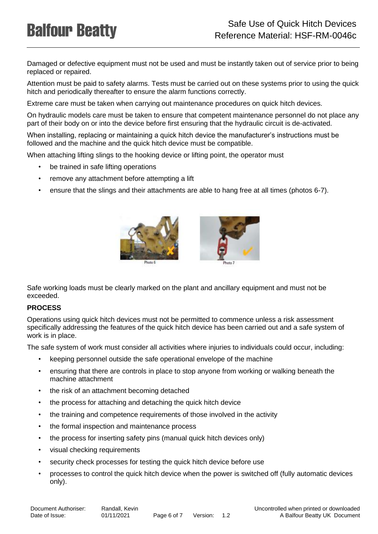Damaged or defective equipment must not be used and must be instantly taken out of service prior to being replaced or repaired.

Attention must be paid to safety alarms. Tests must be carried out on these systems prior to using the quick hitch and periodically thereafter to ensure the alarm functions correctly.

Extreme care must be taken when carrying out maintenance procedures on quick hitch devices.

On hydraulic models care must be taken to ensure that competent maintenance personnel do not place any part of their body on or into the device before first ensuring that the hydraulic circuit is de-activated.

When installing, replacing or maintaining a quick hitch device the manufacturer's instructions must be followed and the machine and the quick hitch device must be compatible.

When attaching lifting slings to the hooking device or lifting point, the operator must

- be trained in safe lifting operations
- remove any attachment before attempting a lift
- ensure that the slings and their attachments are able to hang free at all times (photos 6-7).





Safe working loads must be clearly marked on the plant and ancillary equipment and must not be exceeded.

### **PROCESS**

Operations using quick hitch devices must not be permitted to commence unless a risk assessment specifically addressing the features of the quick hitch device has been carried out and a safe system of work is in place.

The safe system of work must consider all activities where injuries to individuals could occur, including:

- keeping personnel outside the safe operational envelope of the machine
- ensuring that there are controls in place to stop anyone from working or walking beneath the machine attachment
- the risk of an attachment becoming detached
- the process for attaching and detaching the quick hitch device
- the training and competence requirements of those involved in the activity
- the formal inspection and maintenance process
- the process for inserting safety pins (manual quick hitch devices only)
- visual checking requirements
- security check processes for testing the quick hitch device before use
- processes to control the quick hitch device when the power is switched off (fully automatic devices only).